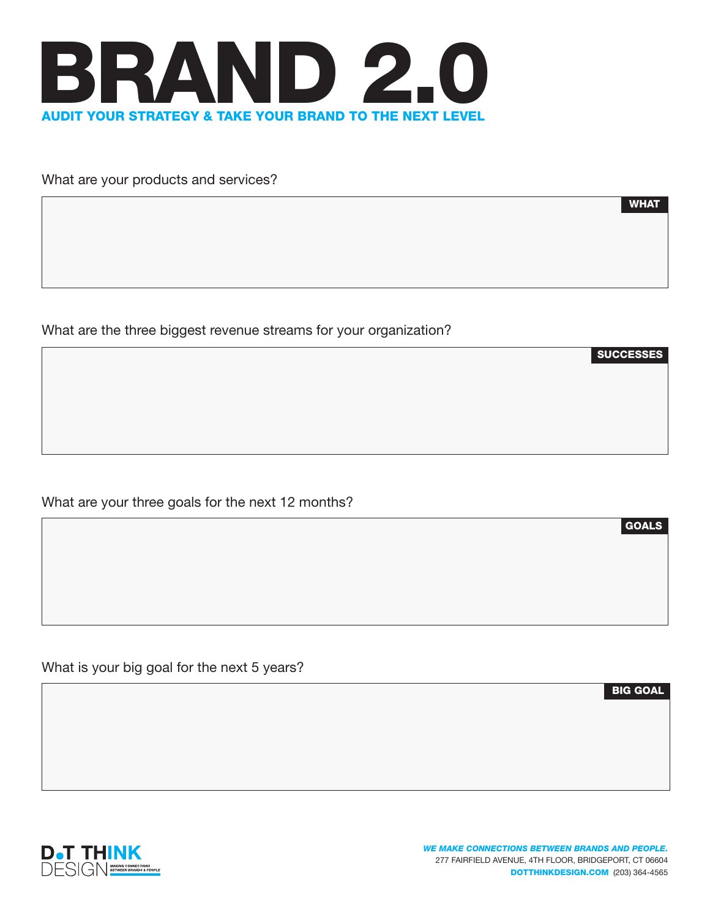

What are your products and services?

WHAT

**SUCCESSES** 

What are the three biggest revenue streams for your organization?

What are your three goals for the next 12 months?

What is your big goal for the next 5 years?

BIG GOAL

GOALS

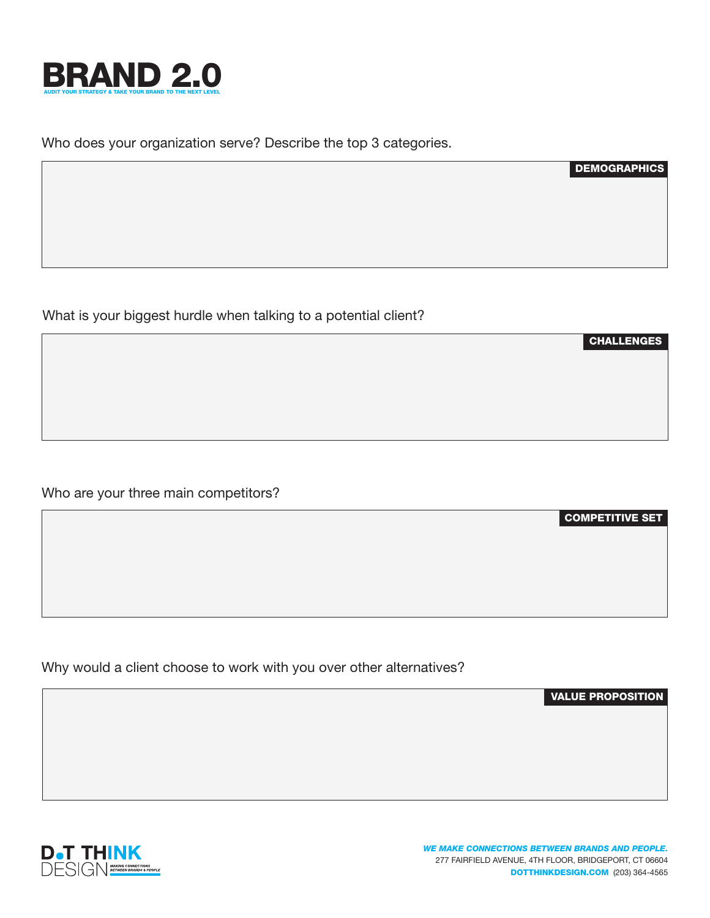

Who does your organization serve? Describe the top 3 categories.

What is your biggest hurdle when talking to a potential client?

Who are your three main competitors?

Why would a client choose to work with you over other alternatives?

VALUE PROPOSITION

COMPETITIVE SET

**DEMOGRAPHICS** 

CHALLENGES

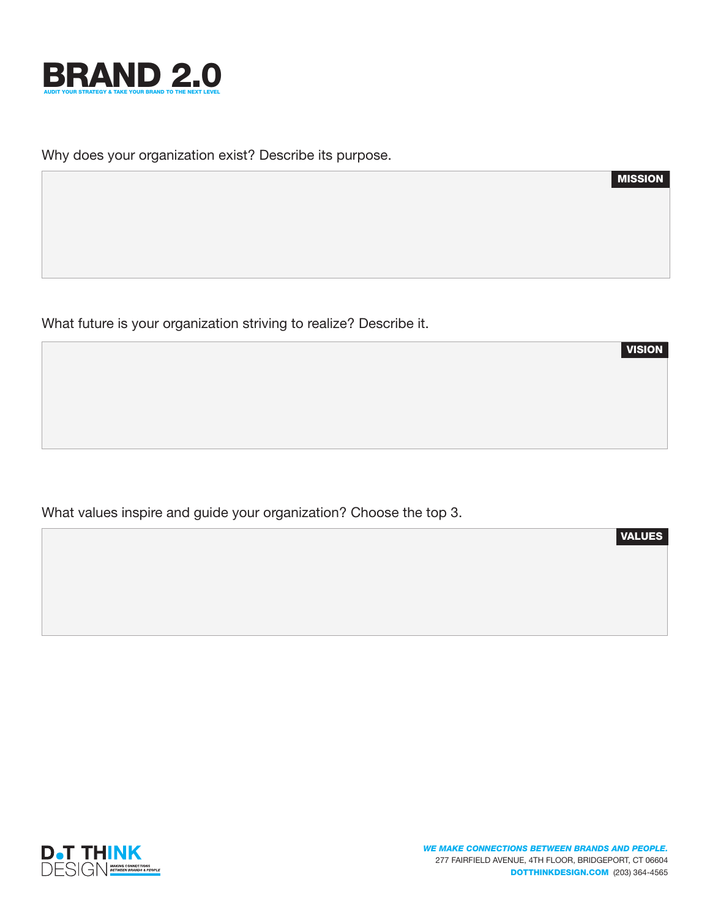

Why does your organization exist? Describe its purpose.

What future is your organization striving to realize? Describe it.

What values inspire and guide your organization? Choose the top 3.



VALUES

MISSION

VISION